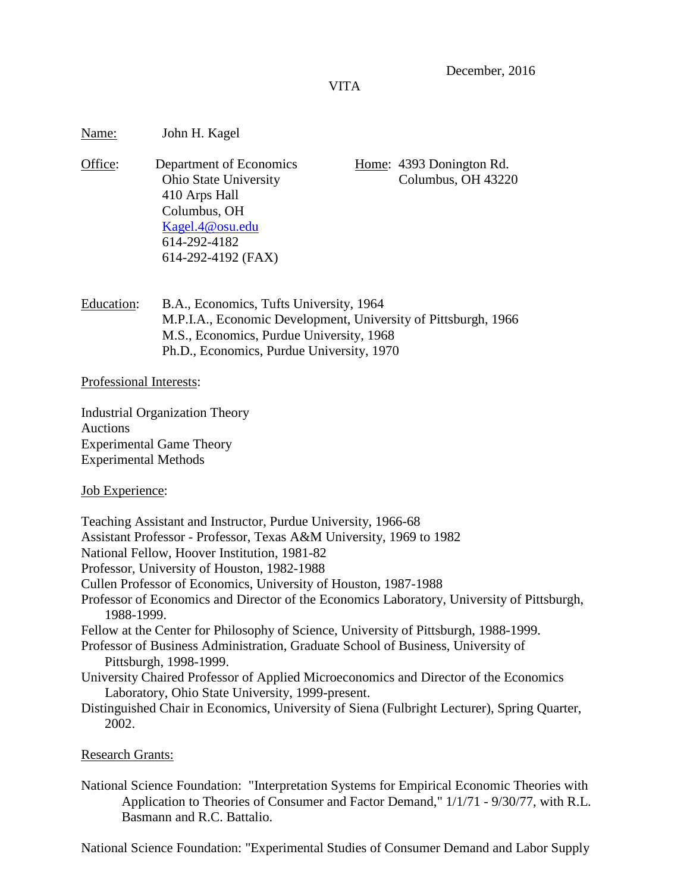VITA

Name: John H. Kagel

Office: Department of Economics Home: 4393 Donington Rd. 410 Arps Hall Columbus, OH [Kagel.4@osu.edu](mailto:Kagel.4@osu.edu) 614-292-4182 614-292-4192 (FAX)

Ohio State University Columbus, OH 43220

Education: B.A., Economics, Tufts University, 1964 M.P.I.A., Economic Development, University of Pittsburgh, 1966 M.S., Economics, Purdue University, 1968 Ph.D., Economics, Purdue University, 1970

#### Professional Interests:

Industrial Organization Theory Auctions Experimental Game Theory Experimental Methods

#### Job Experience:

| Teaching Assistant and Instructor, Purdue University, 1966-68                                                                            |
|------------------------------------------------------------------------------------------------------------------------------------------|
| Assistant Professor - Professor, Texas A&M University, 1969 to 1982                                                                      |
| National Fellow, Hoover Institution, 1981-82                                                                                             |
| Professor, University of Houston, 1982-1988                                                                                              |
| Cullen Professor of Economics, University of Houston, 1987-1988                                                                          |
| Professor of Economics and Director of the Economics Laboratory, University of Pittsburgh,<br>1988-1999.                                 |
| Fellow at the Center for Philosophy of Science, University of Pittsburgh, 1988-1999.                                                     |
| Professor of Business Administration, Graduate School of Business, University of<br>Pittsburgh, 1998-1999.                               |
| University Chaired Professor of Applied Microeconomics and Director of the Economics<br>Laboratory, Ohio State University, 1999-present. |
| Distinguished Chair in Economics, University of Siena (Fulbright Lecturer), Spring Quarter,<br>2002.                                     |

### Research Grants:

National Science Foundation: "Interpretation Systems for Empirical Economic Theories with Application to Theories of Consumer and Factor Demand," 1/1/71 - 9/30/77, with R.L. Basmann and R.C. Battalio.

National Science Foundation: "Experimental Studies of Consumer Demand and Labor Supply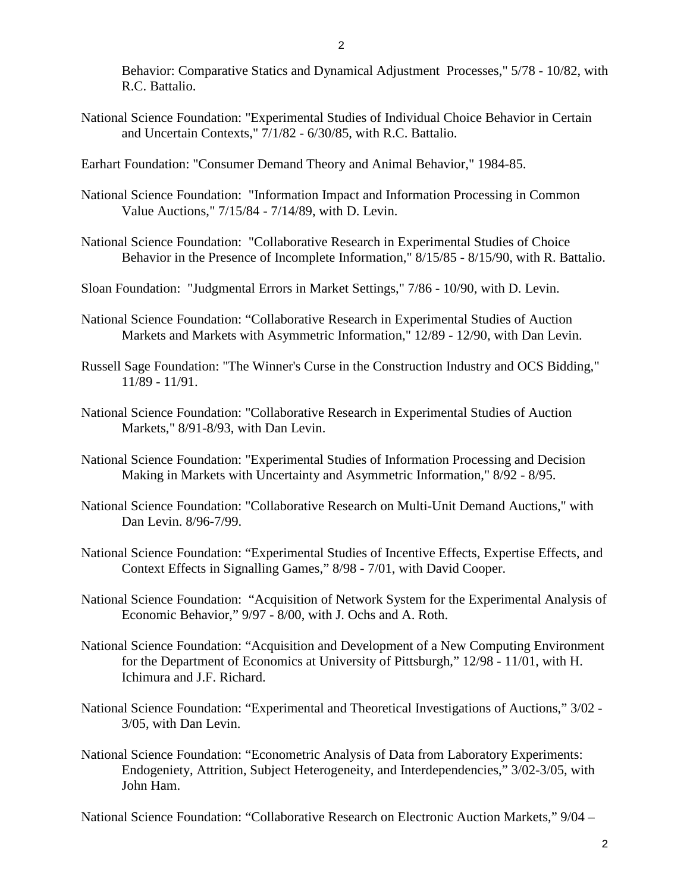Behavior: Comparative Statics and Dynamical Adjustment Processes," 5/78 - 10/82, with R.C. Battalio.

- National Science Foundation: "Experimental Studies of Individual Choice Behavior in Certain and Uncertain Contexts," 7/1/82 - 6/30/85, with R.C. Battalio.
- Earhart Foundation: "Consumer Demand Theory and Animal Behavior," 1984-85.
- National Science Foundation: "Information Impact and Information Processing in Common Value Auctions," 7/15/84 - 7/14/89, with D. Levin.
- National Science Foundation: "Collaborative Research in Experimental Studies of Choice Behavior in the Presence of Incomplete Information," 8/15/85 - 8/15/90, with R. Battalio.
- Sloan Foundation: "Judgmental Errors in Market Settings," 7/86 10/90, with D. Levin.
- National Science Foundation: "Collaborative Research in Experimental Studies of Auction Markets and Markets with Asymmetric Information," 12/89 - 12/90, with Dan Levin.
- Russell Sage Foundation: "The Winner's Curse in the Construction Industry and OCS Bidding," 11/89 - 11/91.
- National Science Foundation: "Collaborative Research in Experimental Studies of Auction Markets," 8/91-8/93, with Dan Levin.
- National Science Foundation: "Experimental Studies of Information Processing and Decision Making in Markets with Uncertainty and Asymmetric Information," 8/92 - 8/95.
- National Science Foundation: "Collaborative Research on Multi-Unit Demand Auctions," with Dan Levin. 8/96-7/99.
- National Science Foundation: "Experimental Studies of Incentive Effects, Expertise Effects, and Context Effects in Signalling Games," 8/98 - 7/01, with David Cooper.
- National Science Foundation: "Acquisition of Network System for the Experimental Analysis of Economic Behavior," 9/97 - 8/00, with J. Ochs and A. Roth.
- National Science Foundation: "Acquisition and Development of a New Computing Environment for the Department of Economics at University of Pittsburgh," 12/98 - 11/01, with H. Ichimura and J.F. Richard.
- National Science Foundation: "Experimental and Theoretical Investigations of Auctions," 3/02 3/05, with Dan Levin.
- National Science Foundation: "Econometric Analysis of Data from Laboratory Experiments: Endogeniety, Attrition, Subject Heterogeneity, and Interdependencies," 3/02-3/05, with John Ham.

National Science Foundation: "Collaborative Research on Electronic Auction Markets," 9/04 –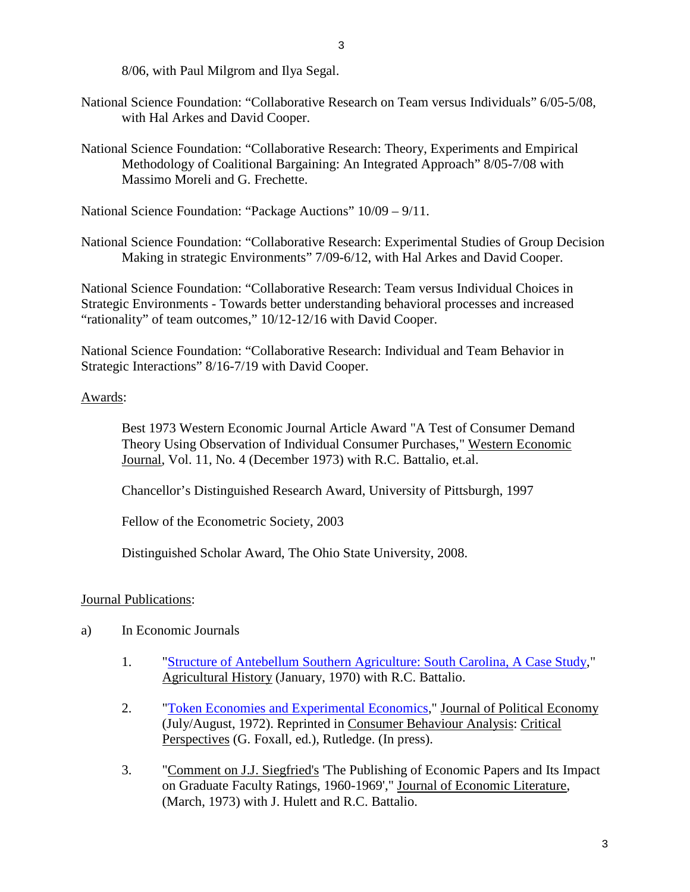8/06, with Paul Milgrom and Ilya Segal.

National Science Foundation: "Collaborative Research on Team versus Individuals" 6/05-5/08, with Hal Arkes and David Cooper.

3

National Science Foundation: "Collaborative Research: Theory, Experiments and Empirical Methodology of Coalitional Bargaining: An Integrated Approach" 8/05-7/08 with Massimo Moreli and G. Frechette.

National Science Foundation: "Package Auctions" 10/09 – 9/11.

National Science Foundation: "Collaborative Research: Experimental Studies of Group Decision Making in strategic Environments" 7/09-6/12, with Hal Arkes and David Cooper.

National Science Foundation: "Collaborative Research: Team versus Individual Choices in Strategic Environments - Towards better understanding behavioral processes and increased "rationality" of team outcomes," 10/12-12/16 with David Cooper.

National Science Foundation: "Collaborative Research: Individual and Team Behavior in Strategic Interactions" 8/16-7/19 with David Cooper.

### Awards:

Best 1973 Western Economic Journal Article Award "A Test of Consumer Demand Theory Using Observation of Individual Consumer Purchases," Western Economic Journal, Vol. 11, No. 4 (December 1973) with R.C. Battalio, et.al.

Chancellor's Distinguished Research Award, University of Pittsburgh, 1997

Fellow of the Econometric Society, 2003

Distinguished Scholar Award, The Ohio State University, 2008.

# Journal Publications:

- a) In Economic Journals
	- 1. ["Structure of Antebellum Southern Agriculture: South Carolina, A Case Study,](https://www.jstor.org/stable/3741359?seq=1#page_scan_tab_contents)" Agricultural History (January, 1970) with R.C. Battalio.
	- 2. ["Token Economies and Experimental Economics,](https://www.jstor.org/stable/1829368?seq=1#page_scan_tab_contents)" Journal of Political Economy (July/August, 1972). Reprinted in Consumer Behaviour Analysis: Critical Perspectives (G. Foxall, ed.), Rutledge. (In press).
	- 3. ["Comment on J.J. Siegfried's](http://onlinelibrary.wiley.com/doi/10.1111/j.1465-7295.1973.tb00972.x/abstract) 'The Publishing of Economic Papers and Its Impact on Graduate Faculty Ratings, 1960-1969'," Journal of Economic Literature, (March, 1973) with J. Hulett and R.C. Battalio.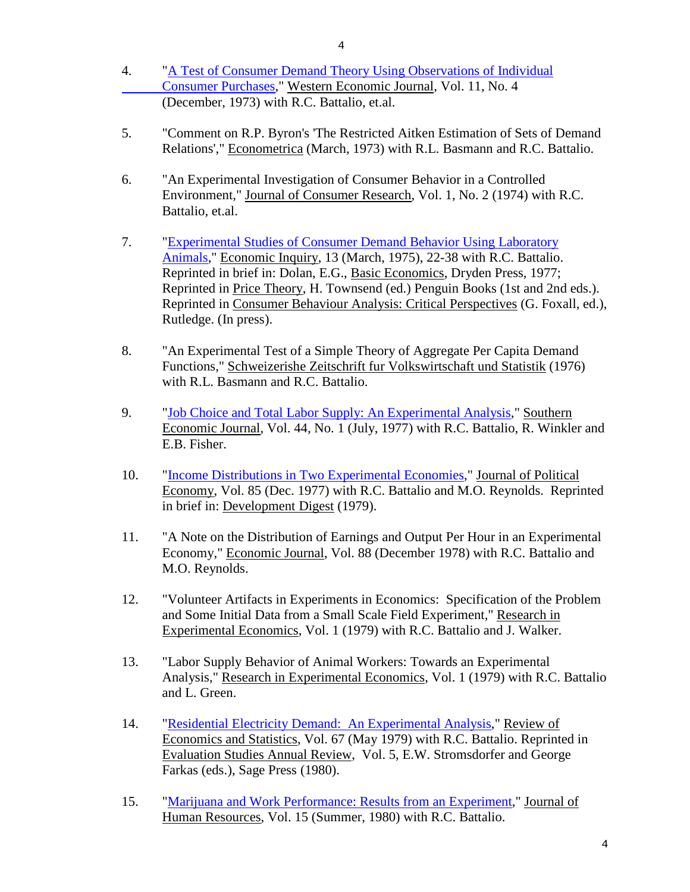- 4. ["A Test of Consumer Demand Theory Using Observations of Individual](http://onlinelibrary.wiley.com/doi/10.1111/j.1465-7295.1973.tb00972.x/epdf) [Consumer Purchases,](http://onlinelibrary.wiley.com/doi/10.1111/j.1465-7295.1973.tb00972.x/epdf)" Western Economic Journal, Vol. 11, No. 4 (December, 1973) with R.C. Battalio, et.al.
- 5. "Comment on R.P. Byron's 'The Restricted Aitken Estimation of Sets of Demand Relations'," Econometrica (March, 1973) with R.L. Basmann and R.C. Battalio.
- 6. "An Experimental Investigation of Consumer Behavior in a Controlled Environment," Journal of Consumer Research, Vol. 1, No. 2 (1974) with R.C. Battalio, et.al.
- 7. ["Experimental Studies of Consumer Demand Behavior Using Laboratory](http://onlinelibrary.wiley.com/doi/10.1111/j.1465-7295.1975.tb01101.x/epdf)  [Animals,](http://onlinelibrary.wiley.com/doi/10.1111/j.1465-7295.1975.tb01101.x/epdf)" Economic Inquiry, 13 (March, 1975), 22-38 with R.C. Battalio. Reprinted in brief in: Dolan, E.G., Basic Economics, Dryden Press, 1977; Reprinted in Price Theory, H. Townsend (ed.) Penguin Books (1st and 2nd eds.). Reprinted in Consumer Behaviour Analysis: Critical Perspectives (G. Foxall, ed.), Rutledge. (In press).
- 8. "An Experimental Test of a Simple Theory of Aggregate Per Capita Demand Functions," Schweizerishe Zeitschrift fur Volkswirtschaft und Statistik (1976) with R.L. Basmann and R.C. Battalio.
- 9. ["Job Choice and Total Labor Supply: An Experimental Analysis,](http://www.jstor.org/stable/1057295?seq=1#page_scan_tab_contents)" Southern Economic Journal, Vol. 44, No. 1 (July, 1977) with R.C. Battalio, R. Winkler and E.B. Fisher.
- 10. ["Income Distributions in Two Experimental Economies,](https://www.jstor.org/stable/1837426?seq=1#page_scan_tab_contents)" Journal of Political Economy, Vol. 85 (Dec. 1977) with R.C. Battalio and M.O. Reynolds. Reprinted in brief in: Development Digest (1979).
- 11. "A Note on the Distribution of Earnings and Output Per Hour in an Experimental Economy," Economic Journal, Vol. 88 (December 1978) with R.C. Battalio and M.O. Reynolds.
- 12. "Volunteer Artifacts in Experiments in Economics: Specification of the Problem and Some Initial Data from a Small Scale Field Experiment," Research in Experimental Economics, Vol. 1 (1979) with R.C. Battalio and J. Walker.
- 13. "Labor Supply Behavior of Animal Workers: Towards an Experimental Analysis," Research in Experimental Economics, Vol. 1 (1979) with R.C. Battalio and L. Green.
- 14. ["Residential Electricity Demand: An Experimental Analysis,](https://www.jstor.org/stable/1924585?seq=1#page_scan_tab_contents)" Review of Economics and Statistics, Vol. 67 (May 1979) with R.C. Battalio. Reprinted in Evaluation Studies Annual Review, Vol. 5, E.W. Stromsdorfer and George Farkas (eds.), Sage Press (1980).
- 15. ["Marijuana and Work Performance: Results from an Experiment,](https://www.researchgate.net/publication/15970465_Marihuana_and_Work_Performance_Results_from_an_Experiment)" Journal of Human Resources, Vol. 15 (Summer, 1980) with R.C. Battalio.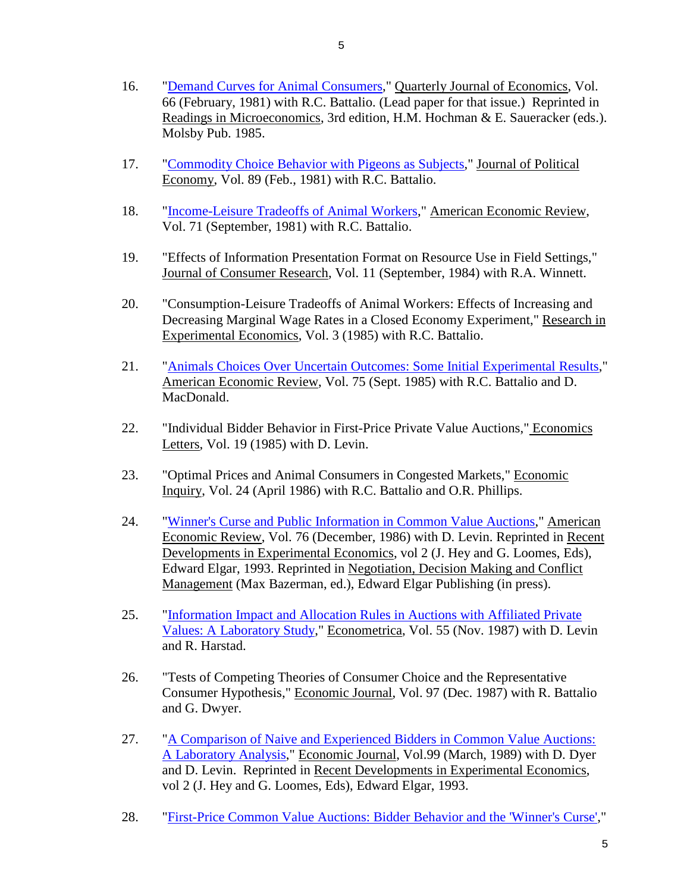- 16. ["Demand Curves for Animal Consumers,](http://qje.oxfordjournals.org/content/96/1/1.full.pdf+html?sid=3b9c212f-f95f-4e61-a018-c0dbd0b199b5)" Quarterly Journal of Economics, Vol. 66 (February, 1981) with R.C. Battalio. (Lead paper for that issue.) Reprinted in Readings in Microeconomics, 3rd edition, H.M. Hochman & E. Saueracker (eds.). Molsby Pub. 1985.
- 17. ["Commodity Choice Behavior with Pigeons as Subjects,](https://www.jstor.org/stable/1837352?seq=1#page_scan_tab_contents)" Journal of Political Economy, Vol. 89 (Feb., 1981) with R.C. Battalio.
- 18. ["Income-Leisure Tradeoffs of Animal Workers,](https://www.jstor.org/stable/1806185?seq=1#page_scan_tab_contents)" American Economic Review, Vol. 71 (September, 1981) with R.C. Battalio.
- 19. "Effects of Information Presentation Format on Resource Use in Field Settings," Journal of Consumer Research, Vol. 11 (September, 1984) with R.A. Winnett.
- 20. "Consumption-Leisure Tradeoffs of Animal Workers: Effects of Increasing and Decreasing Marginal Wage Rates in a Closed Economy Experiment," Research in Experimental Economics, Vol. 3 (1985) with R.C. Battalio.
- 21. ["Animals Choices Over Uncertain Outcomes: Some Initial Experimental Results,](https://www.jstor.org/stable/1821343?seq=1#page_scan_tab_contents)" American Economic Review, Vol. 75 (Sept. 1985) with R.C. Battalio and D. MacDonald.
- 22. "Individual Bidder Behavior in First-Price Private Value Auctions," Economics Letters, Vol. 19 (1985) with D. Levin.
- 23. "Optimal Prices and Animal Consumers in Congested Markets," Economic Inquiry, Vol. 24 (April 1986) with R.C. Battalio and O.R. Phillips.
- 24. ["Winner's Curse and Public Information in Common Value Auctions,](https://www.jstor.org/stable/1816459?seq=1#page_scan_tab_contents)" American Economic Review, Vol. 76 (December, 1986) with D. Levin. Reprinted in Recent Developments in Experimental Economics, vol 2 (J. Hey and G. Loomes, Eds), Edward Elgar, 1993. Reprinted in Negotiation, Decision Making and Conflict Management (Max Bazerman, ed.), Edward Elgar Publishing (in press).
- 25. ["Information Impact and Allocation Rules in Auctions with Affiliated Private](http://econweb.ucsd.edu/%7Ejandreon/Econ264/papers/Kagel%20et%20al%20EMetrica%201987.pdf)  [Values: A Laboratory Study,](http://econweb.ucsd.edu/%7Ejandreon/Econ264/papers/Kagel%20et%20al%20EMetrica%201987.pdf)" Econometrica, Vol. 55 (Nov. 1987) with D. Levin and R. Harstad.
- 26. "Tests of Competing Theories of Consumer Choice and the Representative Consumer Hypothesis," Economic Journal, Vol. 97 (Dec. 1987) with R. Battalio and G. Dwyer.
- 27. ["A Comparison of Naive and Experienced Bidders in Common Value Auctions:](http://www.cs.princeton.edu/courses/archive/spr10/cos444/papers/DyerKagelLevin89.pdf)  [A Laboratory Analysis,](http://www.cs.princeton.edu/courses/archive/spr10/cos444/papers/DyerKagelLevin89.pdf)" Economic Journal, Vol.99 (March, 1989) with D. Dyer and D. Levin. Reprinted in Recent Developments in Experimental Economics, vol 2 (J. Hey and G. Loomes, Eds), Edward Elgar, 1993.
- 28. ["First-Price Common Value Auctions: Bidder Behavior and the 'Winner's Curse',](http://www.econ.ohio-state.edu/kagel/WEBPROMO.PDF)"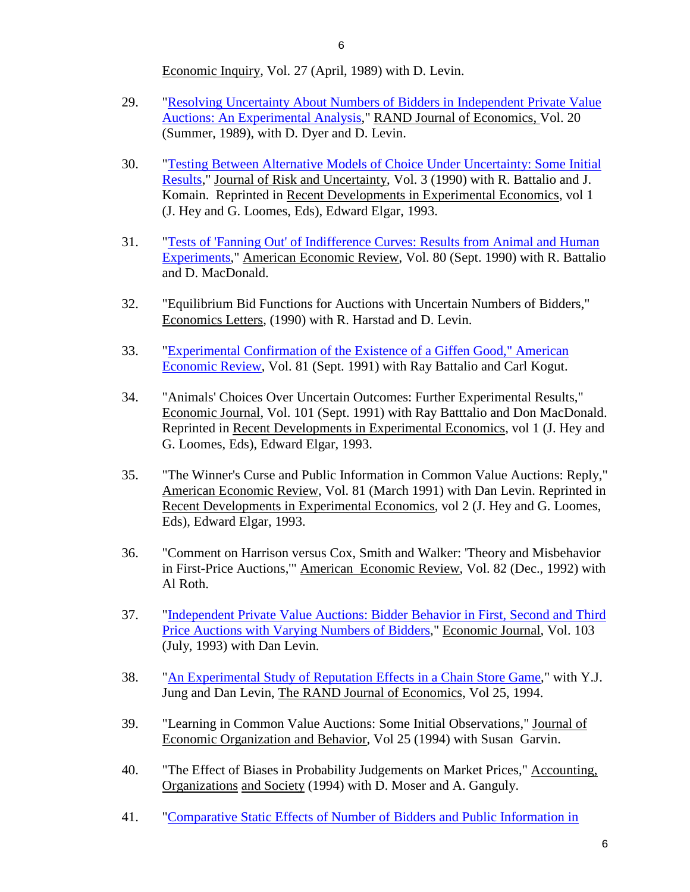Economic Inquiry, Vol. 27 (April, 1989) with D. Levin.

- 29. ["Resolving Uncertainty About Numbers of Bidders in Independent Private Value](https://www.jstor.org/stable/2555693?seq=1#page_scan_tab_contents)  [Auctions: An Experimental Analysis,](https://www.jstor.org/stable/2555693?seq=1#page_scan_tab_contents)" RAND Journal of Economics, Vol. 20 (Summer, 1989), with D. Dyer and D. Levin.
- 30. ["Testing Between Alternative Models of Choice Under Uncertainty: Some Initial](http://link.springer.com/article/10.1007/BF00213259)  [Results,](http://link.springer.com/article/10.1007/BF00213259)" Journal of Risk and Uncertainty, Vol. 3 (1990) with R. Battalio and J. Komain. Reprinted in Recent Developments in Experimental Economics, vol 1 (J. Hey and G. Loomes, Eds), Edward Elgar, 1993.
- 31. ["Tests of 'Fanning Out' of Indifference Curves: Results from Animal and Human](https://www.jstor.org/stable/2006716?seq=1#page_scan_tab_contents)  [Experiments,](https://www.jstor.org/stable/2006716?seq=1#page_scan_tab_contents)" American Economic Review, Vol. 80 (Sept. 1990) with R. Battalio and D. MacDonald.
- 32. "Equilibrium Bid Functions for Auctions with Uncertain Numbers of Bidders," Economics Letters, (1990) with R. Harstad and D. Levin.
- 33. ["Experimental Confirmation of the Existence of a Giffen Good," American](http://www.jstor.org/stable/2006656?seq=1#page_scan_tab_contents)  [Economic Review,](http://www.jstor.org/stable/2006656?seq=1#page_scan_tab_contents) Vol. 81 (Sept. 1991) with Ray Battalio and Carl Kogut.
- 34. "Animals' Choices Over Uncertain Outcomes: Further Experimental Results," Economic Journal, Vol. 101 (Sept. 1991) with Ray Batttalio and Don MacDonald. Reprinted in Recent Developments in Experimental Economics, vol 1 (J. Hey and G. Loomes, Eds), Edward Elgar, 1993.
- 35. "The Winner's Curse and Public Information in Common Value Auctions: Reply," American Economic Review, Vol. 81 (March 1991) with Dan Levin. Reprinted in Recent Developments in Experimental Economics, vol 2 (J. Hey and G. Loomes, Eds), Edward Elgar, 1993.
- 36. "Comment on Harrison versus Cox, Smith and Walker: 'Theory and Misbehavior in First-Price Auctions,'" American Economic Review, Vol. 82 (Dec., 1992) with Al Roth.
- 37. ["Independent Private Value Auctions: Bidder Behavior in First, Second and Third](https://www.cs.princeton.edu/courses/archive/spring07/cos444/papers/kagel_levin93.pdf)  [Price Auctions with Varying Numbers of Bidders,](https://www.cs.princeton.edu/courses/archive/spring07/cos444/papers/kagel_levin93.pdf)" Economic Journal, Vol. 103 (July, 1993) with Dan Levin.
- 38. ["An Experimental Study of Reputation Effects in a Chain Store Game,](http://www.dklevine.com/archive/refs4521.pdf)" with Y.J. Jung and Dan Levin, The RAND Journal of Economics, Vol 25, 1994.
- 39. "Learning in Common Value Auctions: Some Initial Observations," Journal of Economic Organization and Behavior, Vol 25 (1994) with Susan Garvin.
- 40. "The Effect of Biases in Probability Judgements on Market Prices," Accounting, Organizations and Society (1994) with D. Moser and A. Ganguly.
- 41. ["Comparative Static Effects of Number of Bidders and Public Information in](http://link.springer.com/article/10.1007/BF01243157)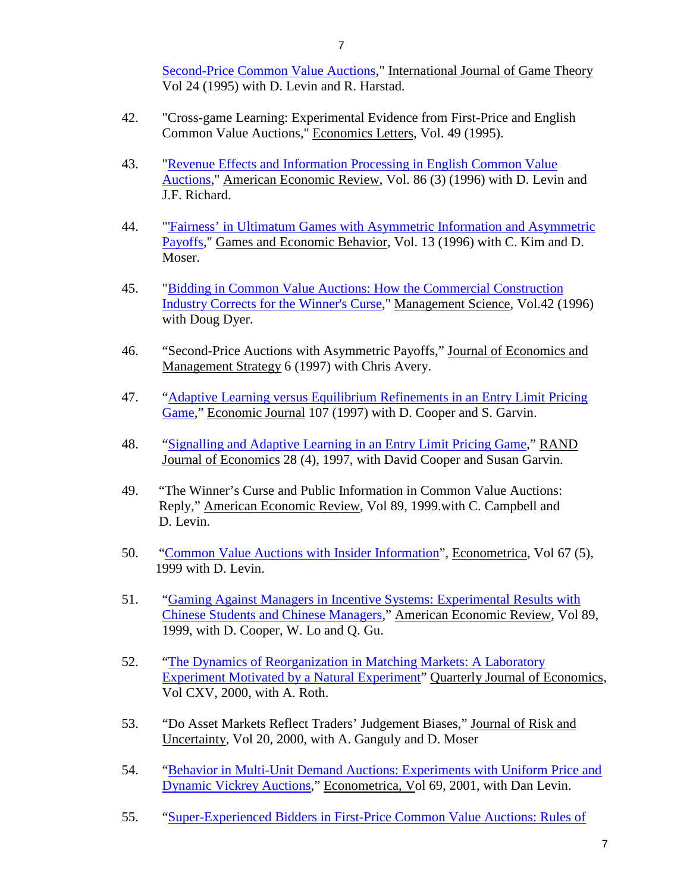[Second-Price Common Value Auctions,](http://link.springer.com/article/10.1007/BF01243157)" International Journal of Game Theory Vol 24 (1995) with D. Levin and R. Harstad.

- 42. "Cross-game Learning: Experimental Evidence from First-Price and English Common Value Auctions," Economics Letters, Vol. 49 (1995).
- 43. ["Revenue Effects and Information Processing in English Common Value](https://www.jstor.org/stable/2118206?seq=1#page_scan_tab_contents)  [Auctions,](https://www.jstor.org/stable/2118206?seq=1#page_scan_tab_contents)" American Economic Review, Vol. 86 (3) (1996) with D. Levin and J.F. Richard.
- 44. ["'Fairness' in Ultimatum Games with Asymmetric Information and Asymmetric](http://www.sciencedirect.com/science/article/pii/S0899825696900263)  [Payoffs,](http://www.sciencedirect.com/science/article/pii/S0899825696900263)" Games and Economic Behavior, Vol. 13 (1996) with C. Kim and D. Moser.
- 45. ["Bidding in Common Value Auctions: How the Commercial Construction](https://www.jstor.org/stable/2634378?seq=1#page_scan_tab_contents)  [Industry Corrects for the Winner's Curse,](https://www.jstor.org/stable/2634378?seq=1#page_scan_tab_contents)" Management Science, Vol.42 (1996) with Doug Dyer.
- 46. "Second-Price Auctions with Asymmetric Payoffs," Journal of Economics and Management Strategy 6 (1997) with Chris Avery.
- 47. ["Adaptive Learning versus Equilibrium Refinements in an Entry Limit Pricing](http://onlinelibrary.wiley.com/doi/10.1111/j.1468-0297.1997.tb00027.x/abstract)  [Game,](http://onlinelibrary.wiley.com/doi/10.1111/j.1468-0297.1997.tb00027.x/abstract)" Economic Journal 107 (1997) with D. Cooper and S. Garvin.
- 48. ["Signalling and Adaptive Learning in an Entry Limit Pricing Game,](https://www.jstor.org/stable/2555781?seq=1#page_scan_tab_contents)" RAND Journal of Economics 28 (4), 1997, with David Cooper and Susan Garvin.
- 49. "The Winner's Curse and Public Information in Common Value Auctions: Reply," American Economic Review, Vol 89, 1999.with C. Campbell and D. Levin.
- 50. ["Common Value Auctions with Insider Information"](https://www.jstor.org/stable/2999517?seq=1#page_scan_tab_contents), Econometrica, Vol 67 (5), 1999 with D. Levin.
- 51. ["Gaming Against Managers in Incentive Systems: Experimental Results with](https://www.jstor.org/stable/117159?seq=1#page_scan_tab_contents)  [Chinese Students and Chinese Managers,](https://www.jstor.org/stable/117159?seq=1#page_scan_tab_contents)" American Economic Review, Vol 89, 1999, with D. Cooper, W. Lo and Q. Gu.
- 52. ["The Dynamics of Reorganization in Matching Markets: A Laboratory](http://qje.oxfordjournals.org/content/115/1/201.full.pdf+html?sid=ddd34533-e733-43cc-89c4-e10de91d039d)  [Experiment Motivated by a Natural Experiment"](http://qje.oxfordjournals.org/content/115/1/201.full.pdf+html?sid=ddd34533-e733-43cc-89c4-e10de91d039d) Quarterly Journal of Economics, Vol CXV, 2000, with A. Roth.
- 53. "Do Asset Markets Reflect Traders' Judgement Biases," Journal of Risk and Uncertainty, Vol 20, 2000, with A. Ganguly and D. Moser
- 54. ["Behavior in Multi-Unit Demand Auctions: Experiments with Uniform Price and](http://onlinelibrary.wiley.com/doi/10.1111/1468-0262.00197/pdf)  [Dynamic Vickrey Auctions,](http://onlinelibrary.wiley.com/doi/10.1111/1468-0262.00197/pdf)" Econometrica, Vol 69, 2001, with Dan Levin.
- 55. ["Super-Experienced Bidders in First-Price Common Value Auctions: Rules of](http://www.mitpressjournals.org/doi/pdf/10.1162/00346530152480063)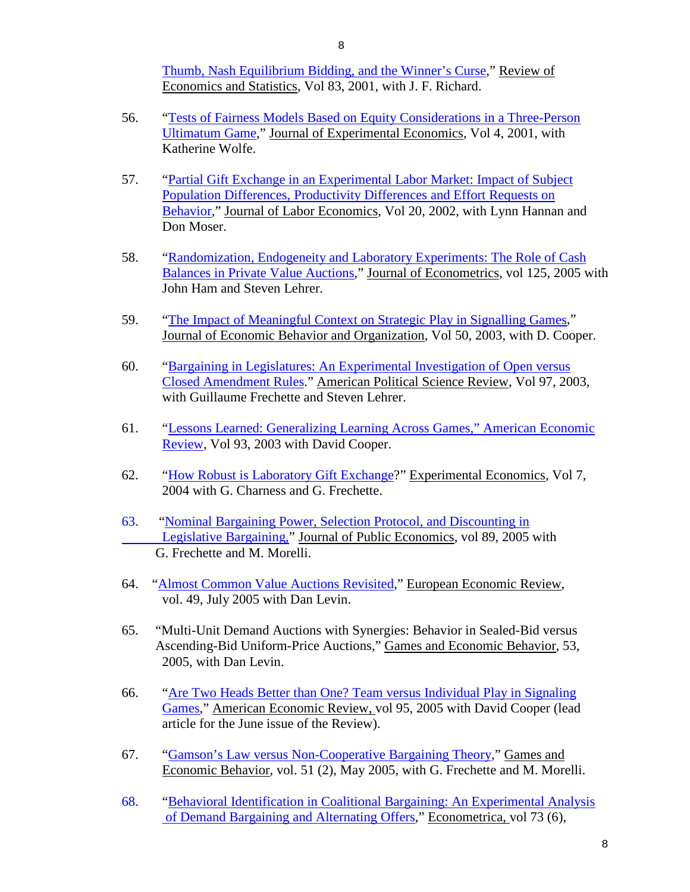[Thumb, Nash Equilibrium Bidding, and the Winner's Curse,](http://www.mitpressjournals.org/doi/pdf/10.1162/00346530152480063)" Review of Economics and Statistics, Vol 83, 2001, with J. F. Richard.

- 56. ["Tests of Fairness Models Based on Equity Considerations in a Three-Person](http://link.springer.com/article/10.1023/A:1013290819565)  [Ultimatum Game,](http://link.springer.com/article/10.1023/A:1013290819565)" Journal of Experimental Economics, Vol 4, 2001, with Katherine Wolfe.
- 57. ["Partial Gift Exchange in an Experimental Labor Market: Impact of Subject](http://www.econ.ohio-state.edu/kagel/Giftexch.hkm.pdf)  [Population Differences, Productivity Differences and Effort Requests on](http://www.econ.ohio-state.edu/kagel/Giftexch.hkm.pdf)  [Behavior,](http://www.econ.ohio-state.edu/kagel/Giftexch.hkm.pdf)" Journal of Labor Economics, Vol 20, 2002, with Lynn Hannan and Don Moser.
- 58. ["Randomization, Endogeneity and Laboratory Experiments: The Role of Cash](http://www.sciencedirect.com/science/article/pii/S030440760400079X)  [Balances in Private Value Auctions,](http://www.sciencedirect.com/science/article/pii/S030440760400079X)" Journal of Econometrics, vol 125, 2005 with John Ham and Steven Lehrer.
- 59. ["The Impact of Meaningful Context on Strategic Play in Signalling Games,](http://www.sciencedirect.com/science/article/pii/S0167268102000252)" Journal of Economic Behavior and Organization, Vol 50, 2003, with D. Cooper.
- 60. ["Bargaining in Legislatures: An Experimental Investigation of Open versus](http://cess.nyu.edu/frechette/print/Frechette_2003a.pdf)  [Closed Amendment Rules.](http://cess.nyu.edu/frechette/print/Frechette_2003a.pdf)" American Political Science Review, Vol 97, 2003, with Guillaume Frechette and Steven Lehrer.
- 61. ["Lessons Learned: Generalizing Learning Across Games," American Economic](https://www.aeaweb.org/articles?id=10.1257/000282803321947056)  [Review,](https://www.aeaweb.org/articles?id=10.1257/000282803321947056) Vol 93, 2003 with David Cooper.
- 62. ["How Robust is Laboratory Gift Exchange?](http://cess.nyu.edu/frechette/print/Charness_2004a.pdf)" Experimental Economics, Vol 7, 2004 with G. Charness and G. Frechette.
- 63. ["Nominal Bargaining Power, Selection Protocol, and Discounting in](http://cess.nyu.edu/frechette/print/Frechette_2005b.pdf)  [Legislative](http://cess.nyu.edu/frechette/print/Frechette_2005b.pdf) Bargaining," Journal of Public Economics, vol 89, 2005 with G. Frechette and M. Morelli.
- 64. "Almost [Common Value Auctions Revisited,](http://www.econ.ohio-state.edu/kagel/almost.pdf)" European Economic Review, vol. 49, July 2005 with Dan Levin.
- 65. "Multi-Unit Demand Auctions with Synergies: Behavior in Sealed-Bid versus Ascending-Bid Uniform-Price Auctions," Games and Economic Behavior, 53, 2005, with Dan Levin.
- 66. ["Are Two Heads Better than One? Team versus Individual Play in Signaling](https://www.jstor.org/stable/4132726?seq=1#page_scan_tab_contents)  [Games,](https://www.jstor.org/stable/4132726?seq=1#page_scan_tab_contents)" American Economic Review, vol 95, 2005 with David Cooper (lead article for the June issue of the Review).
- 67. ["Gamson's Law versus Non-Cooperative Bargaining Theory,](http://cess.nyu.edu/frechette/print/Frechette_2005a.pdf)" Games and Economic Behavior, vol. 51 (2), May 2005, with G. Frechette and M. Morelli.
- 68. ["Behavioral Identification in Coalitional Bargaining: An Experimental Analysis](https://www.jstor.org/stable/3598754?seq=1#page_scan_tab_contents) [of Demand Bargaining and Alternating Offers,](https://www.jstor.org/stable/3598754?seq=1#page_scan_tab_contents)" Econometrica, vol 73 (6),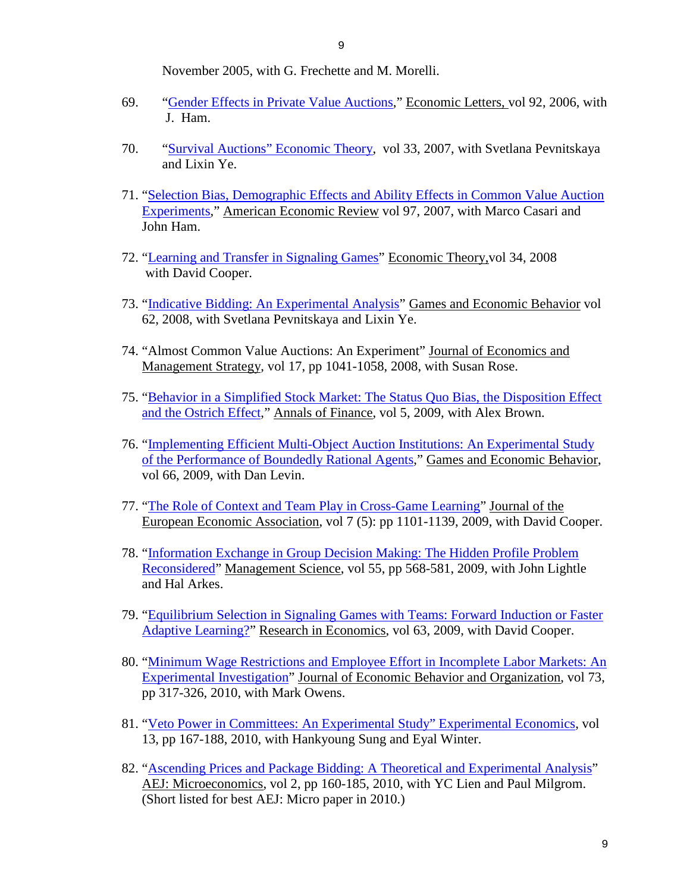November 2005, with G. Frechette and M. Morelli.

- 69. ["Gender Effects in Private Value Auctions,](http://www.sciencedirect.com/science/article/pii/S016517650600108X)" Economic Letters, vol 92, 2006, with J. Ham.
- 70. ["Survival Auctions" Economic Theory,](https://www.jstor.org/stable/27822585?seq=1#page_scan_tab_contents) vol 33, 2007, with Svetlana Pevnitskaya and Lixin Ye.
- 71. ["Selection Bias, Demographic Effects and Ability Effects in Common Value Auction](https://www.newyorkfed.org/medialibrary/media/research/staff_reports/sr213.pdf)  [Experiments,](https://www.newyorkfed.org/medialibrary/media/research/staff_reports/sr213.pdf)" American Economic Review vol 97, 2007, with Marco Casari and John Ham.
- 72. ["Learning and Transfer in Signaling Games"](http://www.econ.ohio-state.edu/kagel/Cooper%20and%20Kagel,%20ET%20final%20submission.pdf) Economic Theory,vol 34, 2008 with David Cooper.
- 73. ["Indicative Bidding: An Experimental Analysis"](http://www.econ.ohio-state.edu/kagel/indicative-final.pdf) Games and Economic Behavior vol 62, 2008, with Svetlana Pevnitskaya and Lixin Ye.
- 74. "Almost Common Value Auctions: An Experiment" Journal of Economics and Management Strategy, vol 17, pp 1041-1058, 2008, with Susan Rose.
- 75. ["Behavior in a Simplified Stock Market: The Status Quo Bias, the Disposition Effect](http://people.tamu.edu/%7Ealexbrown/papers/behaviormarket.pdf)  [and the Ostrich Effect,](http://people.tamu.edu/%7Ealexbrown/papers/behaviormarket.pdf)" Annals of Finance, vol 5, 2009, with Alex Brown.
- 76. ["Implementing Efficient Multi-Object Auction Institutions: An Experimental Study](http://www.sciencedirect.com/science/article/pii/S0899825608001206)  [of the Performance of Boundedly Rational Agents,](http://www.sciencedirect.com/science/article/pii/S0899825608001206)" Games and Economic Behavior, vol 66, 2009, with Dan Levin.
- 77. ["The Role of Context and Team Play in Cross-Game Learning"](http://myweb.fsu.edu/djcooper/research/team.pdf) Journal of the European Economic Association, vol 7 (5): pp 1101-1139, 2009, with David Cooper.
- 78. ["Information Exchange in Group Decision Making: The Hidden Profile Problem](http://pubsonline.informs.org/doi/pdf/10.1287/mnsc.1080.0975)  [Reconsidered"](http://pubsonline.informs.org/doi/pdf/10.1287/mnsc.1080.0975) Management Science, vol 55, pp 568-581, 2009, with John Lightle and Hal Arkes.
- 79. ["Equilibrium Selection in Signaling Games with Teams: Forward Induction or Faster](http://www.sciencedirect.com/science/article/pii/S1090944309000416)  [Adaptive Learning?"](http://www.sciencedirect.com/science/article/pii/S1090944309000416) Research in Economics, vol 63, 2009, with David Cooper.
- 80. ["Minimum Wage Restrictions and Employee Effort in Incomplete Labor Markets: An](http://www.sciencedirect.com/science/article/pii/S0167268109002856)  [Experimental Investigation"](http://www.sciencedirect.com/science/article/pii/S0167268109002856) Journal of Economic Behavior and Organization, vol 73, pp 317-326, 2010, with Mark Owens.
- 81. ["Veto Power in Committees: An Experimental Study" Experimental Economics,](http://link.springer.com/article/10.1007%2Fs10683-010-9234-8) vol 13, pp 167-188, 2010, with Hankyoung Sung and Eyal Winter.
- 82. ["Ascending Prices and Package Bidding: A](http://www.econ.ohio-state.edu/kagel/Ascending_Prices_AEJ.pdf) Theoretical and Experimental Analysis" AEJ: Microeconomics, vol 2, pp 160-185, 2010, with YC Lien and Paul Milgrom. (Short listed for best AEJ: Micro paper in 2010.)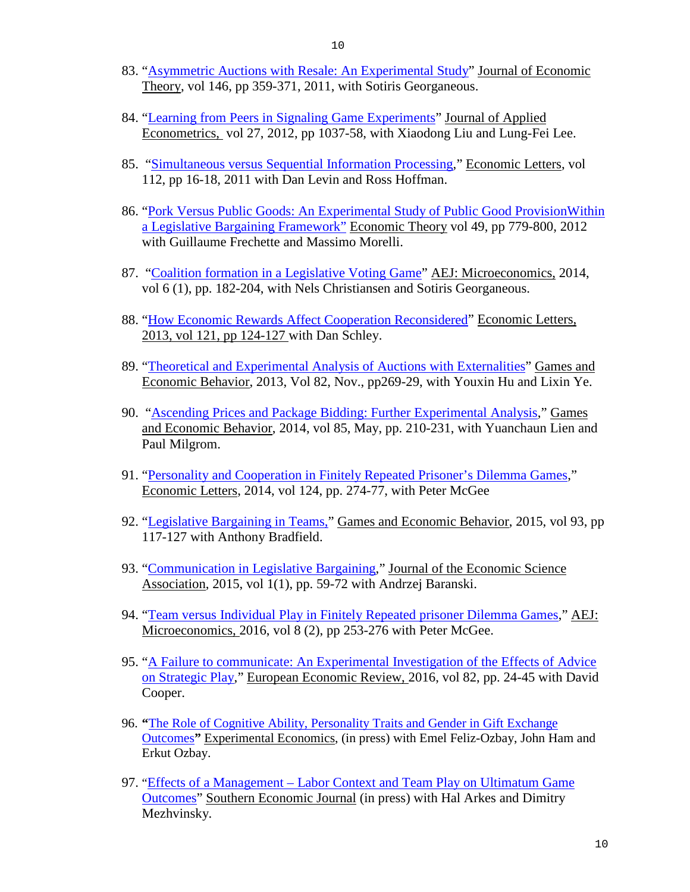- 83. ["Asymmetric Auctions with Resale: An Experimental Study"](http://www.sciencedirect.com/science/article/pii/S002205311000164X) Journal of Economic Theory, vol 146, pp 359-371, 2011, with Sotiris Georganeous.
- 84. ["Learning from Peers in Signaling Game Experiments"](http://spot.colorado.edu/%7Exiaodong/signaling_game_paper.pdf) Journal of Applied Econometrics, vol 27, 2012, pp 1037-58, with Xiaodong Liu and Lung-Fei Lee.
- 85. ["Simultaneous versus Sequential Information Processing,](http://econ.ohio-state.edu/kagel/Simult_vs_sequential_12_30_2010.pdf)" Economic Letters, vol 112, pp 16-18, 2011 with Dan Levin and Ross Hoffman.
- 86. ["Pork Versus Public Goods: An Experimental](http://www.econ.ohio-state.edu/kagel/fkmpg_AJW_48_ET.pdf) Study of Public Good ProvisionWithin [a Legislative Bargaining Framework"](http://www.econ.ohio-state.edu/kagel/fkmpg_AJW_48_ET.pdf) Economic Theory vol 49, pp 779-800, 2012 with Guillaume Frechette and Massimo Morelli.
- 87. ["Coalition formation in a Legislative Voting Game"](http://www.econ.ohio-state.edu/kagel/Coalition%20Formation%20in%20a%20Legislative%20Voting%20Game_AEJrevision_12_7_12.pdf) AEJ: Microeconomics, 2014, vol 6 (1), pp. 182-204, with Nels Christiansen and Sotiris Georganeous.
- 88. ["How Economic Rewards Affect Cooperation Reconsidered"](http://www.sciencedirect.com/science/article/pii/S0165176513003364) Economic Letters, 2013, vol 121, pp 124-127 with Dan Schley.
- 89. ["Theoretical and Experimental Analysis of Auctions with Externalities"](http://www.sciencedirect.com/science/article/pii/S0899825613001140) Games and Economic Behavior, 2013, Vol 82, Nov., pp269-29, with Youxin Hu and Lixin Ye.
- 90. ["Ascending Prices and Package Bidding: Further Experimental Analysis,](http://www.sciencedirect.com/science/article/pii/S0899825614000372)" Games and Economic Behavior, 2014, vol 85, May, pp. 210-231, with Yuanchaun Lien and Paul Milgrom.
- 91. ["Personality and Cooperation in Finitely Repeated Prisoner's Dilemma Games,](http://www.sciencedirect.com/science/article/pii/S0165176514002110)" Economic Letters, 2014, vol 124, pp. 274-77, with Peter McGee
- 92. ["Legislative Bargaining in Teams,"](http://www.sciencedirect.com/science/article/pii/S089982561500113X) Games and Economic Behavior, 2015, vol 93, pp 117-127 with Anthony Bradfield.
- 93. ["Communication in Legislative Bargaining,](http://www.econ.ohio-state.edu/kagel/Reprint_comm.pdf)" Journal of the Economic Science Association, 2015, vol 1(1), pp. 59-72 with Andrzej Baranski.
- 94. ["Team versus Individual Play in Finitely Repeated prisoner Dilemma Games,](https://pdfs.semanticscholar.org/8bca/6cd3a15429e78e712ea4cee74fa6ae45449d.pdf)" AEJ: Microeconomics, 2016, vol 8 (2), pp 253-276 with Peter McGee.
- 95. ["A Failure to communicate: An Experimental Investigation of the Effects of Advice](http://www.sciencedirect.com/science/article/pii/S0014292115001580)  [on Strategic Play,](http://www.sciencedirect.com/science/article/pii/S0014292115001580)" European Economic Review, 2016, vol 82, pp. 24-45 with David Cooper.
- 96. **"**[The Role of Cognitive Ability, Personality Traits](http://www.econ.ohio-state.edu/kagel/FHKO_paper_10_11-12.pdf) and Gender in Gift Exchange [Outcomes](http://www.econ.ohio-state.edu/kagel/FHKO_paper_10_11-12.pdf)**"** Experimental Economics, (in press) with Emel Feliz-Ozbay, John Ham and Erkut Ozbay.
- 97. "Effects of a Management [Labor Context and Team Play on Ultimatum Game](http://www.econ.ohio-state.edu/kagel/Ultimatum%20game_TeamsvsIndivid.pdf)  [Outcomes"](http://www.econ.ohio-state.edu/kagel/Ultimatum%20game_TeamsvsIndivid.pdf) Southern Economic Journal (in press) with Hal Arkes and Dimitry Mezhvinsky.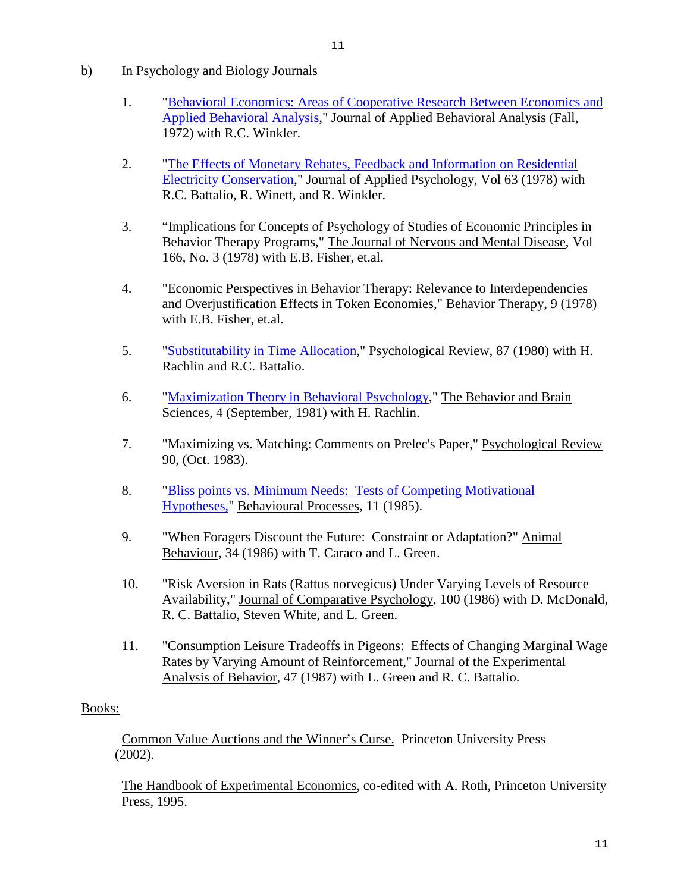- b) In Psychology and Biology Journals
	- 1. ["Behavioral Economics: Areas of Cooperative Research Between Economics and](https://www.ncbi.nlm.nih.gov/pmc/articles/PMC1310770/)  [Applied Behavioral Analysis,](https://www.ncbi.nlm.nih.gov/pmc/articles/PMC1310770/)" Journal of Applied Behavioral Analysis (Fall, 1972) with R.C. Winkler.
	- 2. ["The Effects of Monetary Rebates, Feedback and Information on Residential](http://psycnet.apa.org/journals/apl/63/1/73.pdf)  [Electricity Conservation,](http://psycnet.apa.org/journals/apl/63/1/73.pdf)" Journal of Applied Psychology, Vol 63 (1978) with R.C. Battalio, R. Winett, and R. Winkler.
	- 3. "Implications for Concepts of Psychology of Studies of Economic Principles in Behavior Therapy Programs," The Journal of Nervous and Mental Disease, Vol 166, No. 3 (1978) with E.B. Fisher, et.al.
	- 4. "Economic Perspectives in Behavior Therapy: Relevance to Interdependencies and Overjustification Effects in Token Economies," Behavior Therapy, 9 (1978) with E.B. Fisher, et.al.
	- 5. ["Substitutability in Time Allocation,](http://psycnet.apa.org/journals/rev/87/4/355.pdf)" Psychological Review, 87 (1980) with H. Rachlin and R.C. Battalio.
	- 6. ["Maximization Theory in Behavioral Psychology,](https://www.cambridge.org/core/services/aop-cambridge-core/content/view/S0140525X00009407)" The Behavior and Brain Sciences, 4 (September, 1981) with H. Rachlin.
	- 7. "Maximizing vs. Matching: Comments on Prelec's Paper," Psychological Review 90, (Oct. 1983).
	- 8. ["Bliss points vs. Minimum Needs: Tests of Competing Motivational](https://eurekamag.com/pdf.php?pdf=004847241)  [Hypotheses,"](https://eurekamag.com/pdf.php?pdf=004847241) Behavioural Processes, 11 (1985).
	- 9. "When Foragers Discount the Future: Constraint or Adaptation?" Animal Behaviour, 34 (1986) with T. Caraco and L. Green.
	- 10. "Risk Aversion in Rats (Rattus norvegicus) Under Varying Levels of Resource Availability," Journal of Comparative Psychology, 100 (1986) with D. McDonald, R. C. Battalio, Steven White, and L. Green.
	- 11. "Consumption Leisure Tradeoffs in Pigeons: Effects of Changing Marginal Wage Rates by Varying Amount of Reinforcement," Journal of the Experimental Analysis of Behavior, 47 (1987) with L. Green and R. C. Battalio.

### Books:

Common Value Auctions and the Winner's Curse. Princeton University Press (2002).

The Handbook of Experimental Economics, co-edited with A. Roth, Princeton University Press, 1995.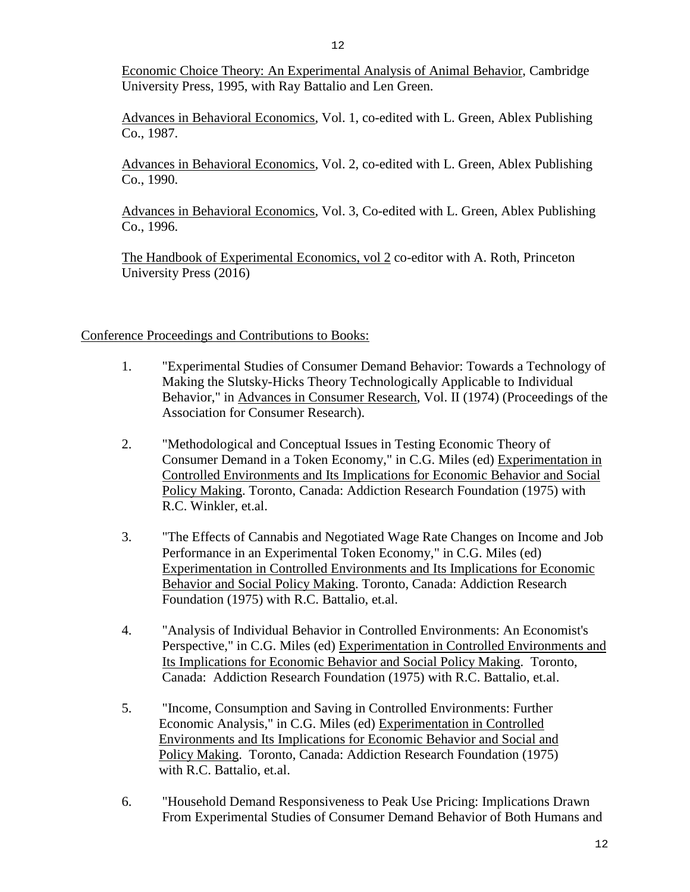Economic Choice Theory: An Experimental Analysis of Animal Behavior, Cambridge University Press, 1995, with Ray Battalio and Len Green.

Advances in Behavioral Economics, Vol. 1, co-edited with L. Green, Ablex Publishing Co., 1987.

Advances in Behavioral Economics, Vol. 2, co-edited with L. Green, Ablex Publishing Co., 1990.

Advances in Behavioral Economics, Vol. 3, Co-edited with L. Green, Ablex Publishing Co., 1996.

The Handbook of Experimental Economics, vol 2 co-editor with A. Roth, Princeton University Press (2016)

# Conference Proceedings and Contributions to Books:

- 1. "Experimental Studies of Consumer Demand Behavior: Towards a Technology of Making the Slutsky-Hicks Theory Technologically Applicable to Individual Behavior," in Advances in Consumer Research, Vol. II (1974) (Proceedings of the Association for Consumer Research).
- 2. "Methodological and Conceptual Issues in Testing Economic Theory of Consumer Demand in a Token Economy," in C.G. Miles (ed) Experimentation in Controlled Environments and Its Implications for Economic Behavior and Social Policy Making. Toronto, Canada: Addiction Research Foundation (1975) with R.C. Winkler, et.al.
- 3. "The Effects of Cannabis and Negotiated Wage Rate Changes on Income and Job Performance in an Experimental Token Economy," in C.G. Miles (ed) Experimentation in Controlled Environments and Its Implications for Economic Behavior and Social Policy Making. Toronto, Canada: Addiction Research Foundation (1975) with R.C. Battalio, et.al.
- 4. "Analysis of Individual Behavior in Controlled Environments: An Economist's Perspective," in C.G. Miles (ed) Experimentation in Controlled Environments and Its Implications for Economic Behavior and Social Policy Making. Toronto, Canada: Addiction Research Foundation (1975) with R.C. Battalio, et.al.
- 5. "Income, Consumption and Saving in Controlled Environments: Further Economic Analysis," in C.G. Miles (ed) Experimentation in Controlled Environments and Its Implications for Economic Behavior and Social and Policy Making. Toronto, Canada: Addiction Research Foundation (1975) with R.C. Battalio, et.al.
- 6. "Household Demand Responsiveness to Peak Use Pricing: Implications Drawn From Experimental Studies of Consumer Demand Behavior of Both Humans and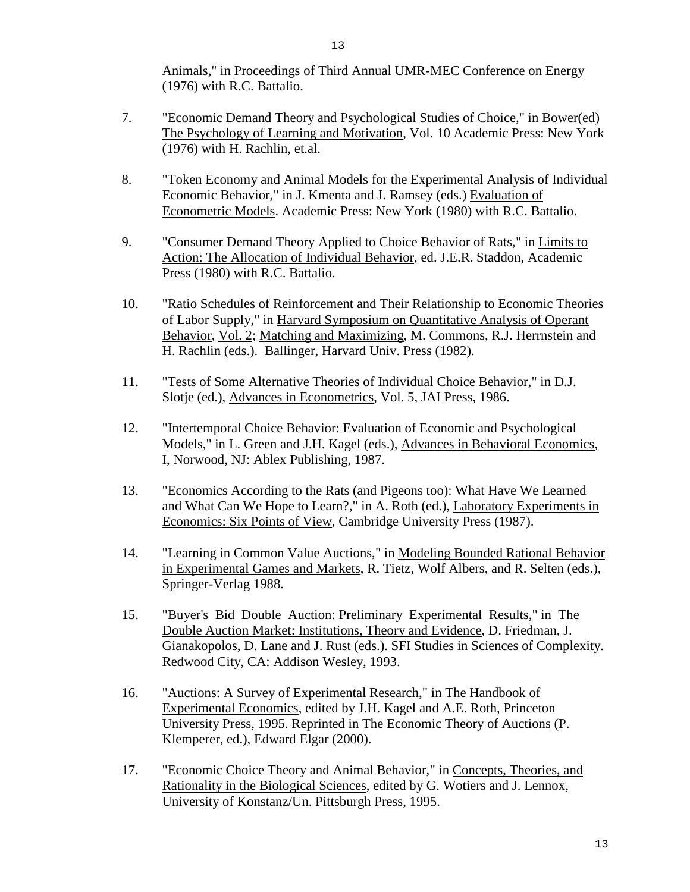Animals," in Proceedings of Third Annual UMR-MEC Conference on Energy (1976) with R.C. Battalio.

- 7. "Economic Demand Theory and Psychological Studies of Choice," in Bower(ed) The Psychology of Learning and Motivation, Vol. 10 Academic Press: New York (1976) with H. Rachlin, et.al.
- 8. "Token Economy and Animal Models for the Experimental Analysis of Individual Economic Behavior," in J. Kmenta and J. Ramsey (eds.) Evaluation of Econometric Models. Academic Press: New York (1980) with R.C. Battalio.
- 9. "Consumer Demand Theory Applied to Choice Behavior of Rats," in Limits to Action: The Allocation of Individual Behavior, ed. J.E.R. Staddon, Academic Press (1980) with R.C. Battalio.
- 10. "Ratio Schedules of Reinforcement and Their Relationship to Economic Theories of Labor Supply," in Harvard Symposium on Quantitative Analysis of Operant Behavior, Vol. 2; Matching and Maximizing, M. Commons, R.J. Herrnstein and H. Rachlin (eds.). Ballinger, Harvard Univ. Press (1982).
- 11. "Tests of Some Alternative Theories of Individual Choice Behavior," in D.J. Slotje (ed.), Advances in Econometrics, Vol. 5, JAI Press, 1986.
- 12. "Intertemporal Choice Behavior: Evaluation of Economic and Psychological Models," in L. Green and J.H. Kagel (eds.), Advances in Behavioral Economics, I, Norwood, NJ: Ablex Publishing, 1987.
- 13. "Economics According to the Rats (and Pigeons too): What Have We Learned and What Can We Hope to Learn?," in A. Roth (ed.), Laboratory Experiments in Economics: Six Points of View, Cambridge University Press (1987).
- 14. "Learning in Common Value Auctions," in Modeling Bounded Rational Behavior in Experimental Games and Markets, R. Tietz, Wolf Albers, and R. Selten (eds.), Springer-Verlag 1988.
- 15. "Buyer's Bid Double Auction: Preliminary Experimental Results," in The Double Auction Market: Institutions, Theory and Evidence, D. Friedman, J. Gianakopolos, D. Lane and J. Rust (eds.). SFI Studies in Sciences of Complexity. Redwood City, CA: Addison Wesley, 1993.
- 16. "Auctions: A Survey of Experimental Research," in The Handbook of Experimental Economics, edited by J.H. Kagel and A.E. Roth, Princeton University Press, 1995. Reprinted in The Economic Theory of Auctions (P. Klemperer, ed.), Edward Elgar (2000).
- 17. "Economic Choice Theory and Animal Behavior," in Concepts, Theories, and Rationality in the Biological Sciences, edited by G. Wotiers and J. Lennox, University of Konstanz/Un. Pittsburgh Press, 1995.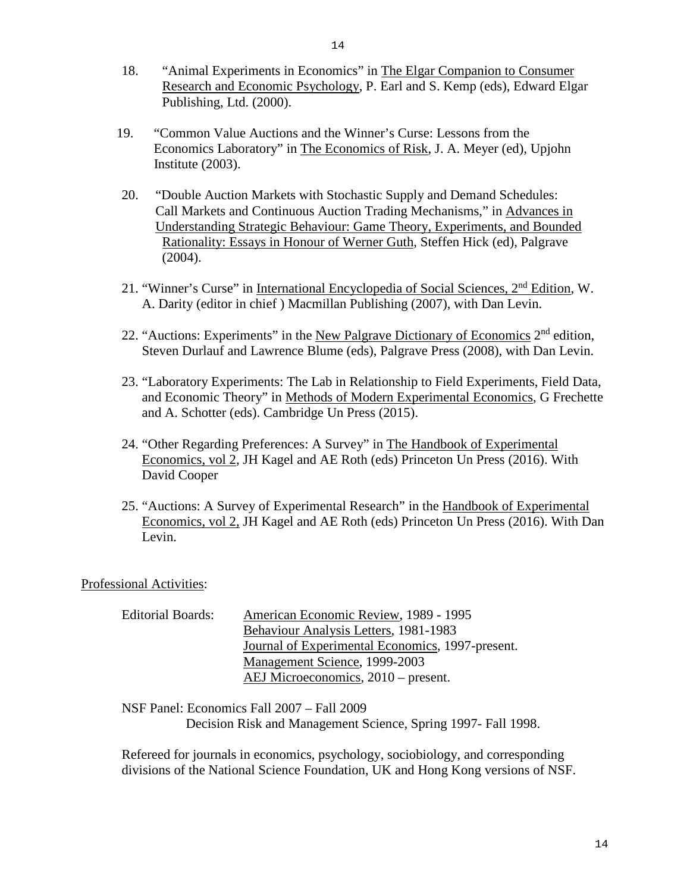- 18. "Animal Experiments in Economics" in The Elgar Companion to Consumer Research and Economic Psychology, P. Earl and S. Kemp (eds), Edward Elgar Publishing, Ltd. (2000).
- 19. "Common Value Auctions and the Winner's Curse: Lessons from the Economics Laboratory" in The Economics of Risk, J. A. Meyer (ed), Upjohn Institute (2003).
- 20. "Double Auction Markets with Stochastic Supply and Demand Schedules: Call Markets and Continuous Auction Trading Mechanisms," in Advances in Understanding Strategic Behaviour: Game Theory, Experiments, and Bounded Rationality: Essays in Honour of Werner Guth, Steffen Hick (ed), Palgrave (2004).
- 21. "Winner's Curse" in International Encyclopedia of Social Sciences, 2<sup>nd</sup> Edition, W. A. Darity (editor in chief ) Macmillan Publishing (2007), with Dan Levin.
- 22. "Auctions: Experiments" in the New Palgrave Dictionary of Economics 2<sup>nd</sup> edition, Steven Durlauf and Lawrence Blume (eds), Palgrave Press (2008), with Dan Levin.
- 23. "Laboratory Experiments: The Lab in Relationship to Field Experiments, Field Data, and Economic Theory" in Methods of Modern Experimental Economics, G Frechette and A. Schotter (eds). Cambridge Un Press (2015).
- 24. "Other Regarding Preferences: A Survey" in The Handbook of Experimental Economics, vol 2, JH Kagel and AE Roth (eds) Princeton Un Press (2016). With David Cooper
- 25. "Auctions: A Survey of Experimental Research" in the Handbook of Experimental Economics, vol 2, JH Kagel and AE Roth (eds) Princeton Un Press (2016). With Dan Levin.

Professional Activities:

| <b>Editorial Boards:</b> | American Economic Review, 1989 - 1995            |
|--------------------------|--------------------------------------------------|
|                          | Behaviour Analysis Letters, 1981-1983            |
|                          | Journal of Experimental Economics, 1997-present. |
|                          | Management Science, 1999-2003                    |
|                          | AEJ Microeconomics, 2010 – present.              |

NSF Panel: Economics Fall 2007 – Fall 2009 Decision Risk and Management Science, Spring 1997- Fall 1998.

Refereed for journals in economics, psychology, sociobiology, and corresponding divisions of the National Science Foundation, UK and Hong Kong versions of NSF.